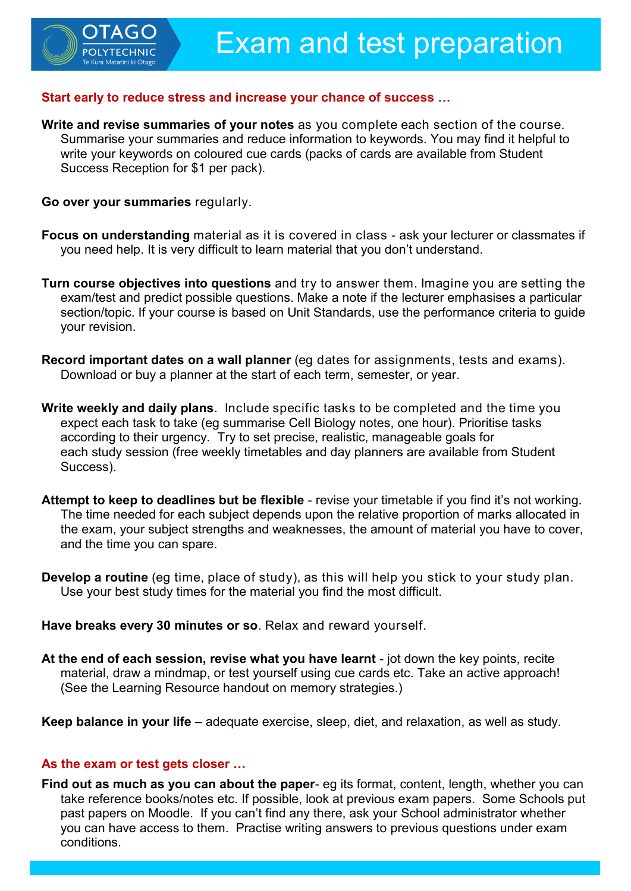## **Start early to reduce stress and increase your chance of success …**

**Write and revise summaries of your notes** as you complete each section of the course. Summarise your summaries and reduce information to keywords. You may find it helpful to write your keywords on coloured cue cards (packs of cards are available from Student Success Reception for \$1 per pack).

**Go over your summaries** regularly.

TAGO

- **Focus on understanding** material as it is covered in class ask your lecturer or classmates if you need help. It is very difficult to learn material that you don't understand.
- **Turn course objectives into questions** and try to answer them. Imagine you are setting the exam/test and predict possible questions. Make a note if the lecturer emphasises a particular section/topic. If your course is based on Unit Standards, use the performance criteria to guide your revision.
- **Record important dates on a wall planner** (eg dates for assignments, tests and exams). Download or buy a planner at the start of each term, semester, or year.
- **Write weekly and daily plans**. Include specific tasks to be completed and the time you expect each task to take (eg summarise Cell Biology notes, one hour). Prioritise tasks according to their urgency. Try to set precise, realistic, manageable goals for each study session (free weekly timetables and day planners are available from Student Success).
- **Attempt to keep to deadlines but be flexible** revise your timetable if you find it's not working. The time needed for each subject depends upon the relative proportion of marks allocated in the exam, your subject strengths and weaknesses, the amount of material you have to cover, and the time you can spare.
- **Develop a routine** (eg time, place of study), as this will help you stick to your study plan. Use your best study times for the material you find the most difficult.

**Have breaks every 30 minutes or so**. Relax and reward yourself.

**At the end of each session, revise what you have learnt** - jot down the key points, recite material, draw a mindmap, or test yourself using cue cards etc. Take an active approach! (See the Learning Resource handout on memory strategies.)

**Keep balance in your life** – adequate exercise, sleep, diet, and relaxation, as well as study.

## **As the exam or test gets closer …**

**Find out as much as you can about the paper**- eg its format, content, length, whether you can take reference books/notes etc. If possible, look at previous exam papers. Some Schools put past papers on Moodle. If you can't find any there, ask your School administrator whether you can have access to them. Practise writing answers to previous questions under exam conditions.